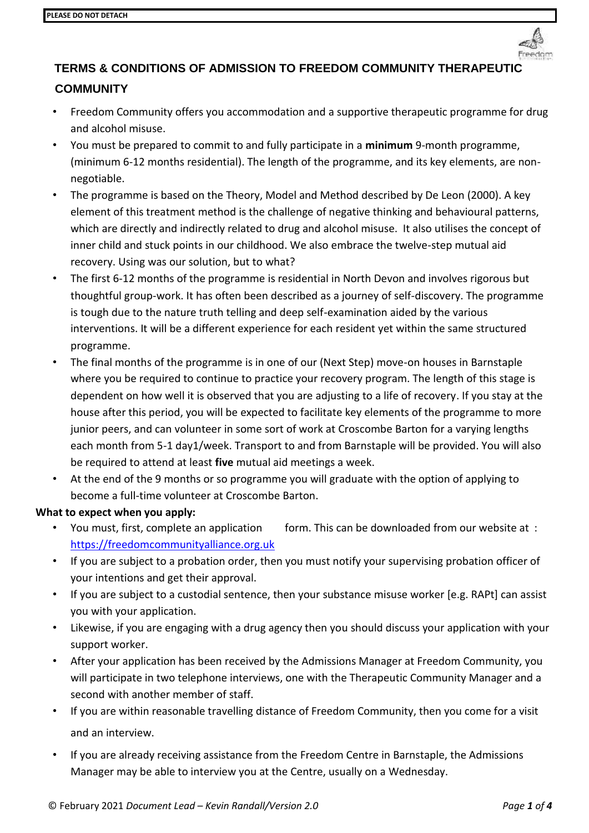

# **TERMS & CONDITIONS OF ADMISSION TO FREEDOM COMMUNITY THERAPEUTI COMMUNITY**

- Freedom Community offers you accommodation and a supportive therapeutic programme for drug and alcohol misuse.
- You must be prepared to commit to and fully participate in a **minimum** 9-month programme, (minimum 6-12 months residential). The length of the programme, and its key elements, are nonnegotiable.
- The programme is based on the Theory, Model and Method described by De Leon (2000). A key element of this treatment method is the challenge of negative thinking and behavioural patterns, which are directly and indirectly related to drug and alcohol misuse. It also utilises the concept of inner child and stuck points in our childhood. We also embrace the twelve-step mutual aid recovery. Using was our solution, but to what?
- The first 6-12 months of the programme is residential in North Devon and involves rigorous but thoughtful group-work. It has often been described as a journey of self-discovery. The programme is tough due to the nature truth telling and deep self-examination aided by the various interventions. It will be a different experience for each resident yet within the same structured programme.
- The final months of the programme is in one of our (Next Step) move-on houses in Barnstaple where you be required to continue to practice your recovery program. The length of this stage is dependent on how well it is observed that you are adjusting to a life of recovery. If you stay at the house after this period, you will be expected to facilitate key elements of the programme to more junior peers, and can volunteer in some sort of work at Croscombe Barton for a varying lengths each month from 5-1 day1/week. Transport to and from Barnstaple will be provided. You will also be required to attend at least **five** mutual aid meetings a week.
- At the end of the 9 months or so programme you will graduate with the option of applying to become a full-time volunteer at Croscombe Barton.

### **What to expect when you apply:**

- You must, first, complete an application form. This can be downloaded from our website at : [https://freedomcommunityalliance.org.uk](https://freedomcommunityalliance.org.uk/)
- If you are subject to a probation order, then you must notify your supervising probation officer of your intentions and get their approval.
- If you are subject to a custodial sentence, then your substance misuse worker [e.g. RAPt] can assist you with your application.
- Likewise, if you are engaging with a drug agency then you should discuss your application with your support worker.
- After your application has been received by the Admissions Manager at Freedom Community, you will participate in two telephone interviews, one with the Therapeutic Community Manager and a second with another member of staff.
- If you are within reasonable travelling distance of Freedom Community, then you come for a visit and an interview.
- If you are already receiving assistance from the Freedom Centre in Barnstaple, the Admissions Manager may be able to interview you at the Centre, usually on a Wednesday.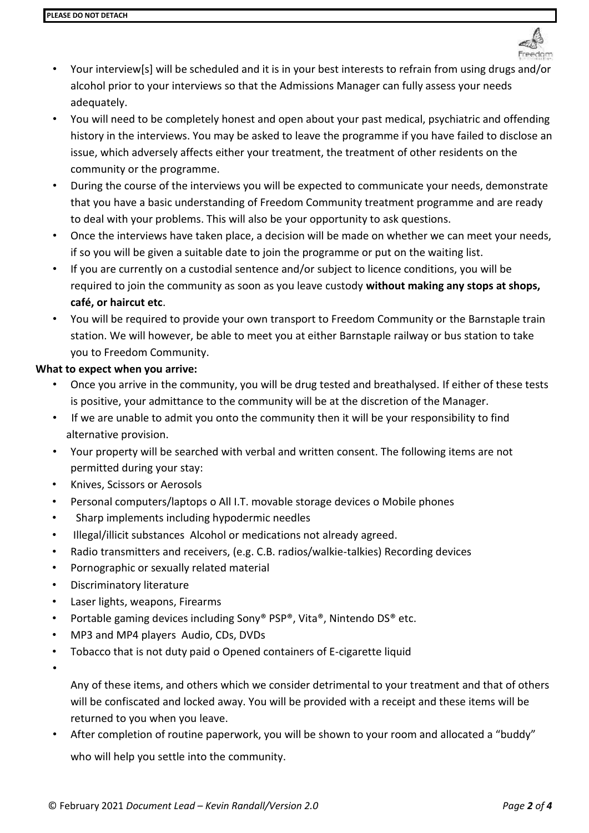

- Your interview[s] will be scheduled and it is in your best interests to refrain from using drugs and/or alcohol prior to your interviews so that the Admissions Manager can fully assess your needs adequately.
- You will need to be completely honest and open about your past medical, psychiatric and offending history in the interviews. You may be asked to leave the programme if you have failed to disclose an issue, which adversely affects either your treatment, the treatment of other residents on the community or the programme.
- During the course of the interviews you will be expected to communicate your needs, demonstrate that you have a basic understanding of Freedom Community treatment programme and are ready to deal with your problems. This will also be your opportunity to ask questions.
- Once the interviews have taken place, a decision will be made on whether we can meet your needs, if so you will be given a suitable date to join the programme or put on the waiting list.
- If you are currently on a custodial sentence and/or subject to licence conditions, you will be required to join the community as soon as you leave custody **without making any stops at shops, café, or haircut etc**.
- You will be required to provide your own transport to Freedom Community or the Barnstaple train station. We will however, be able to meet you at either Barnstaple railway or bus station to take you to Freedom Community.

### **What to expect when you arrive:**

- Once you arrive in the community, you will be drug tested and breathalysed. If either of these tests is positive, your admittance to the community will be at the discretion of the Manager.
- If we are unable to admit you onto the community then it will be your responsibility to find alternative provision.
- Your property will be searched with verbal and written consent. The following items are not permitted during your stay:
- Knives, Scissors or Aerosols
- Personal computers/laptops o All I.T. movable storage devices o Mobile phones
- Sharp implements including hypodermic needles
- Illegal/illicit substances Alcohol or medications not already agreed.
- Radio transmitters and receivers, (e.g. C.B. radios/walkie-talkies) Recording devices
- Pornographic or sexually related material
- Discriminatory literature
- Laser lights, weapons, Firearms
- Portable gaming devices including Sony® PSP®, Vita®, Nintendo DS® etc.
- MP3 and MP4 players Audio, CDs, DVDs
- Tobacco that is not duty paid o Opened containers of E-cigarette liquid
- •

Any of these items, and others which we consider detrimental to your treatment and that of others will be confiscated and locked away. You will be provided with a receipt and these items will be returned to you when you leave.

• After completion of routine paperwork, you will be shown to your room and allocated a "buddy" who will help you settle into the community.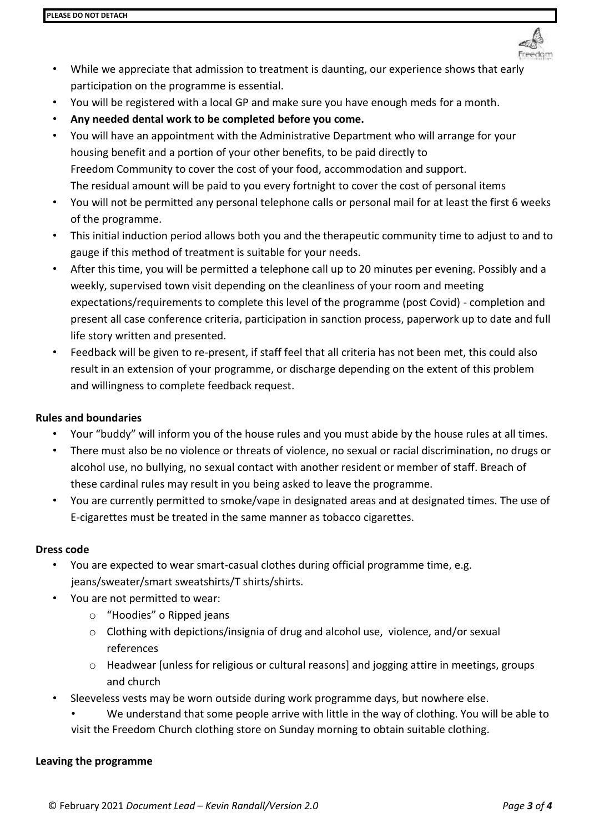

- While we appreciate that admission to treatment is daunting, our experience shows that early participation on the programme is essential.
- You will be registered with a local GP and make sure you have enough meds for a month.
- **Any needed dental work to be completed before you come.**
- You will have an appointment with the Administrative Department who will arrange for your housing benefit and a portion of your other benefits, to be paid directly to Freedom Community to cover the cost of your food, accommodation and support. The residual amount will be paid to you every fortnight to cover the cost of personal items
- You will not be permitted any personal telephone calls or personal mail for at least the first 6 weeks of the programme.
- This initial induction period allows both you and the therapeutic community time to adjust to and to gauge if this method of treatment is suitable for your needs.
- After this time, you will be permitted a telephone call up to 20 minutes per evening. Possibly and a weekly, supervised town visit depending on the cleanliness of your room and meeting expectations/requirements to complete this level of the programme (post Covid) - completion and present all case conference criteria, participation in sanction process, paperwork up to date and full life story written and presented.
- Feedback will be given to re-present, if staff feel that all criteria has not been met, this could also result in an extension of your programme, or discharge depending on the extent of this problem and willingness to complete feedback request.

#### **Rules and boundaries**

- Your "buddy" will inform you of the house rules and you must abide by the house rules at all times.
- There must also be no violence or threats of violence, no sexual or racial discrimination, no drugs or alcohol use, no bullying, no sexual contact with another resident or member of staff. Breach of these cardinal rules may result in you being asked to leave the programme.
- You are currently permitted to smoke/vape in designated areas and at designated times. The use of E-cigarettes must be treated in the same manner as tobacco cigarettes.

#### **Dress code**

- You are expected to wear smart-casual clothes during official programme time, e.g. jeans/sweater/smart sweatshirts/T shirts/shirts.
- You are not permitted to wear:
	- o "Hoodies" o Ripped jeans
	- o Clothing with depictions/insignia of drug and alcohol use, violence, and/or sexual references
	- $\circ$  Headwear [unless for religious or cultural reasons] and jogging attire in meetings, groups and church
- Sleeveless vests may be worn outside during work programme days, but nowhere else.
	- We understand that some people arrive with little in the way of clothing. You will be able to visit the Freedom Church clothing store on Sunday morning to obtain suitable clothing.

#### **Leaving the programme**